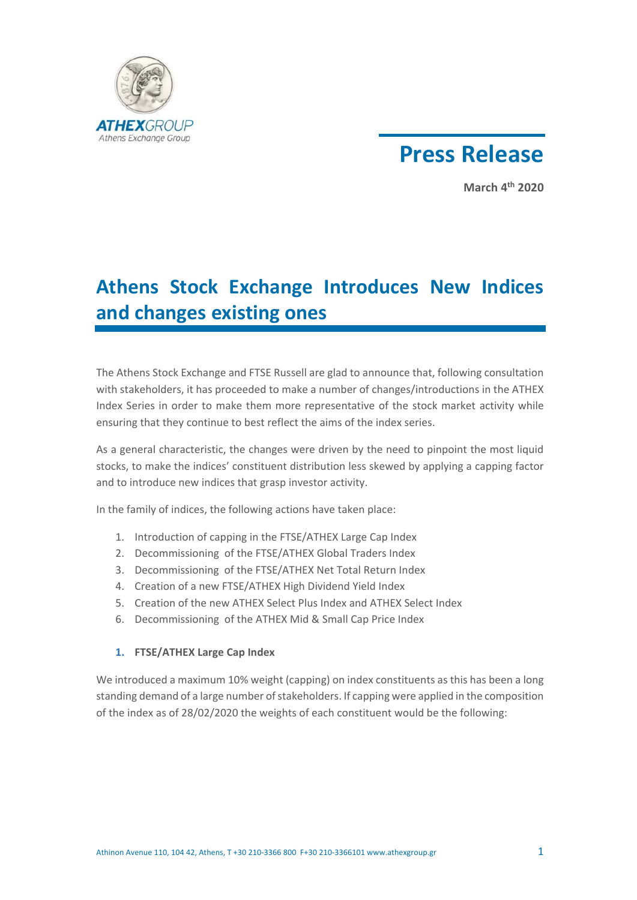



**March 4th 2020** 

# **Athens Stock Exchange Introduces New Indices and changes existing ones**

The Athens Stock Exchange and FTSE Russell are glad to announce that, following consultation with stakeholders, it has proceeded to make a number of changes/introductions in the ATHEX Index Series in order to make them more representative of the stock market activity while ensuring that they continue to best reflect the aims of the index series.

As a general characteristic, the changes were driven by the need to pinpoint the most liquid stocks, to make the indices' constituent distribution less skewed by applying a capping factor and to introduce new indices that grasp investor activity.

In the family of indices, the following actions have taken place:

- 1. Introduction of capping in the FTSE/ATHEX Large Cap Index
- 2. Decommissioning of the FTSE/ATHEX Global Traders Index
- 3. Decommissioning of the FTSE/ATHEX Net Total Return Index
- 4. Creation of a new FTSE/ATHEX High Dividend Yield Index
- 5. Creation of the new ATHEX Select Plus Index and ATHEX Select Index
- 6. Decommissioning of the ATHEX Mid & Small Cap Price Index

#### **1. FTSE/ATHEX Large Cap Index**

We introduced a maximum 10% weight (capping) on index constituents as this has been a long standing demand of a large number of stakeholders. If capping were applied in the composition of the index as of 28/02/2020 the weights of each constituent would be the following: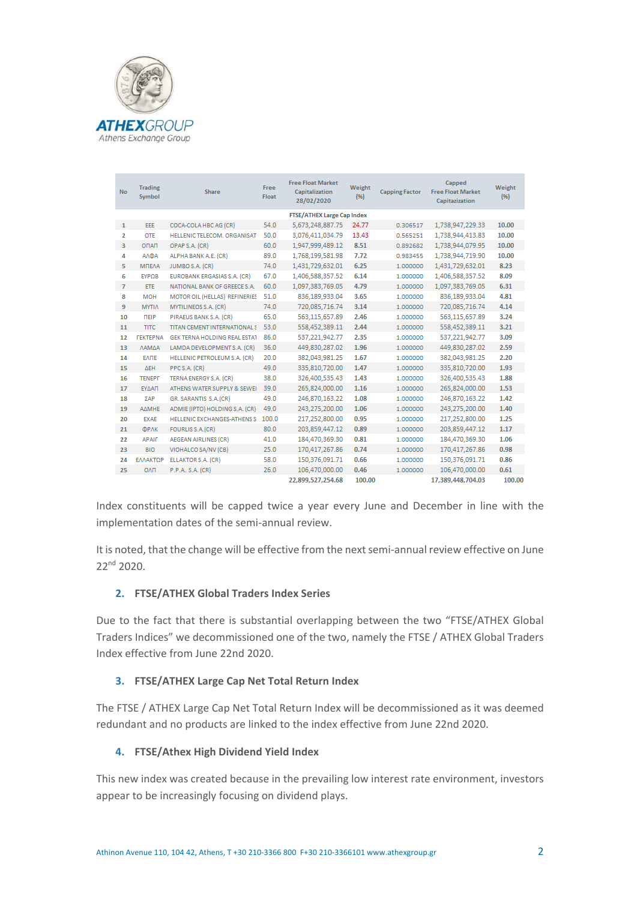

| <b>No</b>      | <b>Trading</b><br>Symbol          | <b>Share</b>                       | Free<br><b>Float</b> | <b>Free Float Market</b><br>Capitalization<br>28/02/2020 | Weight<br>(96) | <b>Capping Factor</b> | Capped<br><b>Free Float Market</b><br>Capitazization | Weight<br>(96) |
|----------------|-----------------------------------|------------------------------------|----------------------|----------------------------------------------------------|----------------|-----------------------|------------------------------------------------------|----------------|
|                | <b>FTSE/ATHEX Large Cap Index</b> |                                    |                      |                                                          |                |                       |                                                      |                |
| $\mathbf{1}$   | EEE                               | COCA-COLA HBC AG (CR)              | 54.0                 | 5,673,248,887.75                                         | 24.77          | 0.306517              | 1,738,947,229.33                                     | 10.00          |
| 2              | <b>OTE</b>                        | HELLENIC TELECOM. ORGANISAT        | 50.0                 | 3.076.411.034.79                                         | 13.43          | 0.565251              | 1.738.944.413.83                                     | 10.00          |
| 3              | <b>ONAN</b>                       | OPAP S.A. (CR)                     | 60.0                 | 1,947,999,489.12                                         | 8.51           | 0.892682              | 1,738,944,079.95                                     | 10.00          |
| 4              | <b>ANDA</b>                       | ALPHA BANK A.E. (CR)               | 89.0                 | 1,768,199,581.98                                         | 7.72           | 0.983455              | 1,738,944,719.90                                     | 10.00          |
| 5              | <b>MTEAA</b>                      | JUMBO S.A. (CR)                    | 74.0                 | 1,431,729,632.01                                         | 6.25           | 1.000000              | 1,431,729,632.01                                     | 8.23           |
| 6              | EYP <sub>ΩB</sub>                 | EUROBANK ERGASIAS S.A. (CR)        | 67.0                 | 1,406,588,357.52                                         | 6.14           | 1.000000              | 1,406,588,357.52                                     | 8.09           |
| $\overline{7}$ | <b>ETE</b>                        | NATIONAL BANK OF GREECE S.A.       | 60.0                 | 1,097,383,769.05                                         | 4.79           | 1.000000              | 1,097,383,769.05                                     | 6.31           |
| 8              | <b>MOH</b>                        | MOTOR OIL (HELLAS) REFINERIES      | 51.0                 | 836.189.933.04                                           | 3.65           | 1.000000              | 836,189,933.04                                       | 4.81           |
| 9              | <b>MYTIA</b>                      | MYTILINEOS S.A. (CR)               | 74.0                 | 720.085.716.74                                           | 3.14           | 1.000000              | 720.085.716.74                                       | 4.14           |
| 10             | <b>TIEIP</b>                      | PIRAEUS BANK S.A. (CR)             | 65.0                 | 563,115,657.89                                           | 2.46           | 1.000000              | 563,115,657.89                                       | 3.24           |
| 11             | <b>TITC</b>                       | TITAN CEMENT INTERNATIONAL S       | 53.0                 | 558,452,389.11                                           | 2.44           | 1.000000              | 558.452.389.11                                       | 3.21           |
| 12             | <b><i><u>TEKTEPNA</u></i></b>     | GEK TERNA HOLDING REAL ESTAT       | 86.0                 | 537,221,942.77                                           | 2.35           | 1.000000              | 537,221,942.77                                       | 3.09           |
| 13             | ΛΑΜΔΑ                             | LAMDA DEVELOPMENT S.A. (CR)        | 36.0                 | 449,830,287.02                                           | 1.96           | 1.000000              | 449,830,287.02                                       | 2.59           |
| 14             | <b>EATE</b>                       | HELLENIC PETROLEUM S.A. (CR)       | 20.0                 | 382,043,981.25                                           | 1.67           | 1.000000              | 382,043,981.25                                       | 2.20           |
| 15             | $\triangle$ EH                    | PPCS.A. (CR)                       | 49.0                 | 335,810,720.00                                           | 1.47           | 1.000000              | 335,810,720.00                                       | 1.93           |
| 16             | <b>TENEPF</b>                     | TERNA ENERGY S.A. (CR)             | 38.0                 | 326,400,535.43                                           | 1.43           | 1.000000              | 326,400,535.43                                       | 1.88           |
| 17             | ΕΥΔΑΠ                             | ATHENS WATER SUPPLY & SEWEI        | 39.0                 | 265,824,000.00                                           | 1.16           | 1.000000              | 265,824,000.00                                       | 1.53           |
| 18             | ΣΑΡ                               | GR. SARANTIS S.A. (CR)             | 49.0                 | 246,870,163.22                                           | 1.08           | 1.000000              | 246,870,163.22                                       | 1.42           |
| 19             | ΑΔΜΗΕ                             | ADMIE (IPTO) HOLDING S.A. (CR)     | 49.0                 | 243,275,200.00                                           | 1.06           | 1.000000              | 243,275,200.00                                       | 1.40           |
| 20             | <b>EXAE</b>                       | <b>HELLENIC EXCHANGES-ATHENS S</b> | 100.0                | 217.252.800.00                                           | 0.95           | 1.000000              | 217.252.800.00                                       | 1.25           |
| 21             | ΦΡΛΚ                              | FOURLIS S.A. (CR)                  | 80.0                 | 203,859,447.12                                           | 0.89           | 1.000000              | 203,859,447.12                                       | 1.17           |
| 22             | <b>APAIF</b>                      | <b>AEGEAN AIRLINES (CR)</b>        | 41.0                 | 184,470,369.30                                           | 0.81           | 1.000000              | 184,470,369.30                                       | 1.06           |
| 23             | <b>BIO</b>                        | VIOHALCO SA/NV (CB)                | 25.0                 | 170,417,267.86                                           | 0.74           | 1.000000              | 170,417,267.86                                       | 0.98           |
| 24             | ΕΛΛΑΚΤΩΡ                          | ELLAKTOR S.A. (CR)                 | 58.0                 | 150,376,091.71                                           | 0.66           | 1.000000              | 150,376,091.71                                       | 0.86           |
| 25             | <b>DAD</b>                        | P.P.A. S.A. (CR)                   | 26.0                 | 106.470.000.00                                           | 0.46           | 1.000000              | 106.470.000.00                                       | 0.61           |
|                |                                   |                                    |                      | 22.899.527.254.68                                        | 100.00         |                       | 17.389.448.704.03                                    | 100.00         |

Index constituents will be capped twice a year every June and December in line with the implementation dates of the semi-annual review.

It is noted, that the change will be effective from the next semi-annual review effective on June 22nd 2020.

#### **2. FTSE/ATHEX Global Traders Index Series**

Due to the fact that there is substantial overlapping between the two "FTSE/ATHEX Global Traders Indices" we decommissioned one of the two, namely the FTSE / ATHEX Global Traders Index effective from June 22nd 2020.

#### **3. FTSE/ATHEX Large Cap Net Total Return Index**

The FTSE / ATHEX Large Cap Net Total Return Index will be decommissioned as it was deemed redundant and no products are linked to the index effective from June 22nd 2020.

#### **4. FTSE/Athex High Dividend Yield Index**

This new index was created because in the prevailing low interest rate environment, investors appear to be increasingly focusing on dividend plays.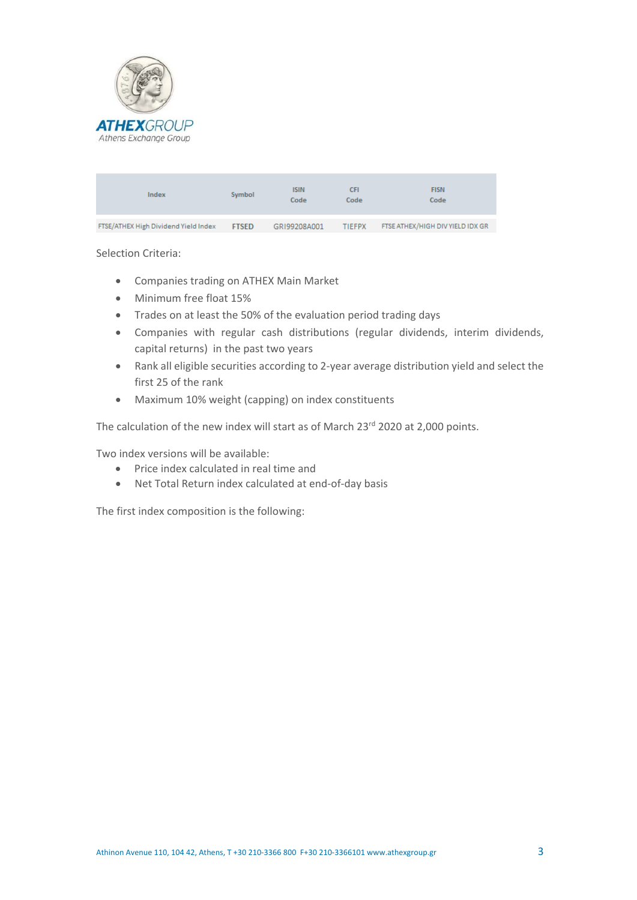

| Index                                | Symbol       | <b>ISIN</b><br>Code | СFІ<br>Code   | <b>FISN</b><br>Code              |
|--------------------------------------|--------------|---------------------|---------------|----------------------------------|
|                                      |              |                     |               |                                  |
| FTSE/ATHEX High Dividend Yield Index | <b>FTSED</b> | GRI99208A001        | <b>TIEFPX</b> | FTSE ATHEX/HIGH DIV YIELD IDX GR |

Selection Criteria:

- Companies trading on ATHEX Main Market
- Minimum free float 15%
- Trades on at least the 50% of the evaluation period trading days
- Companies with regular cash distributions (regular dividends, interim dividends, capital returns) in the past two years
- Rank all eligible securities according to 2-year average distribution yield and select the first 25 of the rank
- Maximum 10% weight (capping) on index constituents

The calculation of the new index will start as of March 23<sup>rd</sup> 2020 at 2,000 points.

Two index versions will be available:

- Price index calculated in real time and
- Net Total Return index calculated at end-of-day basis

The first index composition is the following: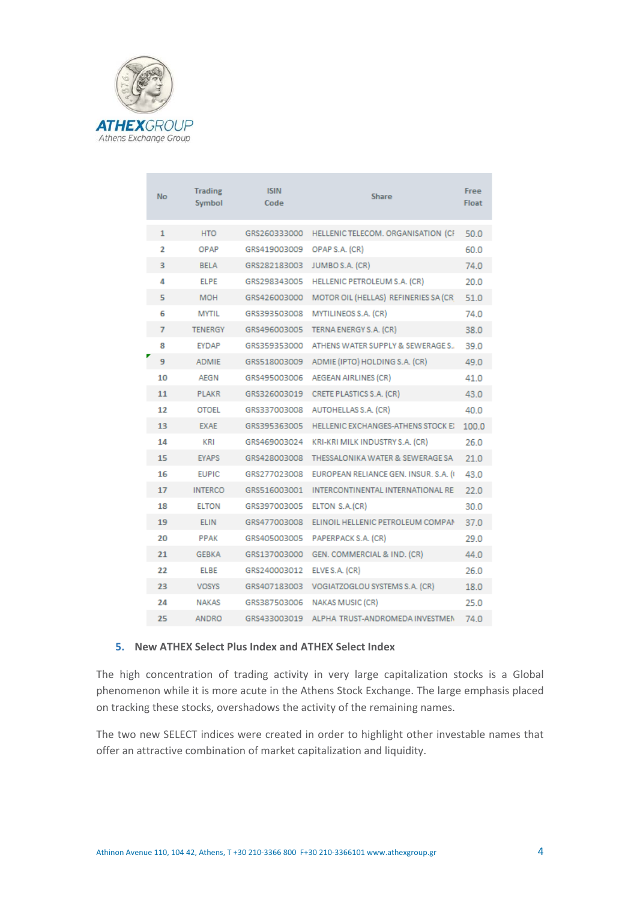

|  | <b>No</b>      | <b>Trading</b><br>Symbol | <b>ISIN</b><br>Code | <b>Share</b>                           | Free<br><b>Float</b> |
|--|----------------|--------------------------|---------------------|----------------------------------------|----------------------|
|  | 1              | <b>HTO</b>               | GRS260333000        | HELLENIC TELECOM. ORGANISATION (CF     | 50.0                 |
|  | $\overline{2}$ | OPAP                     | GRS419003009        | OPAP S.A. (CR)                         | 60.0                 |
|  | 3              | <b>BELA</b>              | GRS282183003        | JUMBO S.A. (CR)                        | 74.0                 |
|  | 4              | <b>ELPE</b>              | GRS298343005        | <b>HELLENIC PETROLEUM S.A. (CR)</b>    | 20.0                 |
|  | 5              | <b>MOH</b>               | GRS426003000        | MOTOR OIL (HELLAS) REFINERIES SA (CR)  | 51.0                 |
|  | 6              | <b>MYTIL</b>             | GRS393503008        | MYTILINEOS S.A. (CR)                   | 74.0                 |
|  | 7              | <b>TENERGY</b>           | GRS496003005        | TERNA ENERGY S.A. (CR)                 | 38.0                 |
|  | 8              | <b>EYDAP</b>             | GRS359353000        | ATHENS WATER SUPPLY & SEWERAGE S       | 39.0                 |
|  | 9              | <b>ADMIE</b>             | GRS518003009        | ADMIE (IPTO) HOLDING S.A. (CR)         | 49.0                 |
|  | 10             | <b>AEGN</b>              | GRS495003006        | AEGEAN AIRLINES (CR)                   | 41.0                 |
|  | 11             | <b>PLAKR</b>             | GRS326003019        | CRETE PLASTICS S.A. (CR)               | 43.0                 |
|  | 12             | <b>OTOEL</b>             | GRS337003008        | AUTOHELLAS S.A. (CR)                   | 40 O                 |
|  | 13             | <b>EXAE</b>              | GRS395363005        | HELLENIC EXCHANGES-ATHENS STOCK EX     | 100.0                |
|  | 14             | KRI                      | GRS469003024        | KRI-KRI MILK INDUSTRY S.A. (CR)        | 26.0                 |
|  | 15             | <b>EYAPS</b>             | GRS428003008        | THESSALONIKA WATER & SEWERAGE SA       | 21.0                 |
|  | 16             | <b>EUPIC</b>             | GRS277023008        | EUROPEAN RELIANCE GEN. INSUR. S.A. (4) | 43.0                 |
|  | 17             | <b>INTERCO</b>           | GRS516003001        | INTERCONTINENTAL INTERNATIONAL RE      | 22.0                 |
|  | 18             | <b>ELTON</b>             | GRS397003005        | ELTON S.A.(CR)                         | 30.0                 |
|  | 19             | <b>ELIN</b>              | GRS477003008        | ELINOIL HELLENIC PETROLEUM COMPAN      | 37.0                 |
|  | 20             | <b>PPAK</b>              | GRS405003005        | PAPERPACK S.A. (CR)                    | 29.0                 |
|  | 21             | <b>GEBKA</b>             | GRS137003000        | GEN. COMMERCIAL & IND. (CR)            | 44.0                 |
|  | 22             | <b>ELBE</b>              | GRS240003012        | ELVE S.A. (CR)                         | 26.0                 |
|  | 23             | <b>VOSYS</b>             | GRS407183003        | VOGIATZOGLOU SYSTEMS S.A. (CR)         | 18.0                 |
|  | 24             | <b>NAKAS</b>             | GRS387503006        | NAKAS MUSIC (CR)                       | 25.0                 |
|  | 25             | ANDRO                    | GRS433003019        | ALPHA TRUST-ANDROMEDA INVESTMEN        | 74.0                 |

#### **5. New ATHEX Select Plus Index and ATHEX Select Index**

The high concentration of trading activity in very large capitalization stocks is a Global phenomenon while it is more acute in the Athens Stock Exchange. The large emphasis placed on tracking these stocks, overshadows the activity of the remaining names.

The two new SELECT indices were created in order to highlight other investable names that offer an attractive combination of market capitalization and liquidity.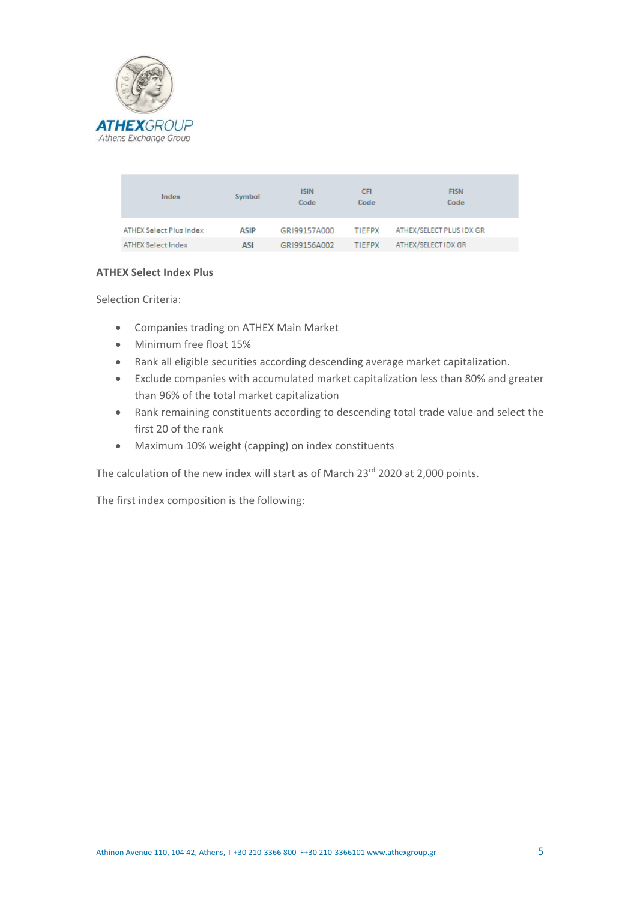

| Index                          | Symbol      | <b>ISIN</b><br>Code | <b>CFI</b><br>Code | <b>FISN</b><br>Code      |
|--------------------------------|-------------|---------------------|--------------------|--------------------------|
| <b>ATHEX Select Plus Index</b> | <b>ASIP</b> | GRI99157A000        | <b>TIEFPX</b>      | ATHEX/SELECT PLUS IDX GR |
| <b>ATHEX Select Index</b>      | ASI         | GRI99156A002        | <b>TIEFPX</b>      | ATHEX/SELECT IDX GR      |

#### **ATHEX Select Index Plus**

Selection Criteria:

- Companies trading on ATHEX Main Market
- Minimum free float 15%
- Rank all eligible securities according descending average market capitalization.
- Exclude companies with accumulated market capitalization less than 80% and greater than 96% of the total market capitalization
- Rank remaining constituents according to descending total trade value and select the first 20 of the rank
- Maximum 10% weight (capping) on index constituents

The calculation of the new index will start as of March 23<sup>rd</sup> 2020 at 2,000 points.

The first index composition is the following: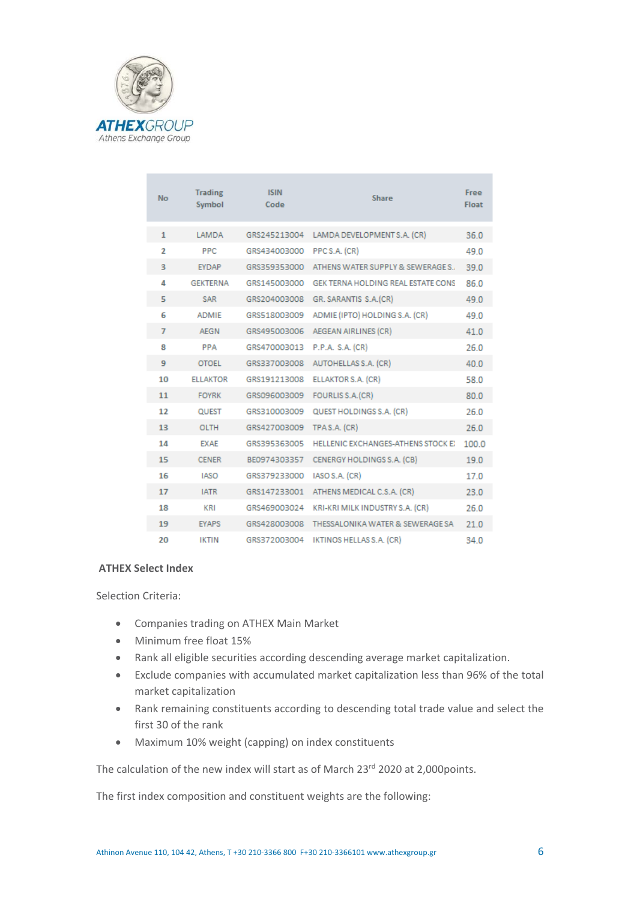

| <b>No</b>      | <b>Trading</b><br>Symbol | <b>ISIN</b><br>Code | <b>Share</b>                       | Free<br>Float |
|----------------|--------------------------|---------------------|------------------------------------|---------------|
| 1              | <b>LAMDA</b>             | GRS245213004        | LAMDA DEVELOPMENT S.A. (CR)        | 36.0          |
| $\overline{2}$ | <b>PPC</b>               | GRS434003000        | PPCS.A. (CR)                       | 49.0          |
| 3              | EYDAP                    | GRS359353000        | ATHENS WATER SUPPLY & SEWERAGE S., | 39.0          |
| 4              | <b>GEKTERNA</b>          | GRS145003000        | GEK TERNA HOLDING REAL ESTATE CONS | 86.0          |
| 5              | <b>SAR</b>               | GRS204003008        | GR. SARANTIS S.A. (CR)             | 49.0          |
| 6              | <b>ADMIE</b>             | GRS518003009        | ADMIE (IPTO) HOLDING S.A. (CR)     | 49.0          |
| $\overline{7}$ | <b>AEGN</b>              | GRS495003006        | AEGEAN AIRLINES (CR)               | 41.0          |
| 8              | <b>PPA</b>               | GRS470003013        | P.P.A. S.A. (CR)                   | 26.0          |
| 9              | <b>OTOEL</b>             | GRS337003008        | AUTOHELLAS S.A. (CR)               | 40.0          |
| 10             | <b>ELLAKTOR</b>          | GRS191213008        | ELLAKTOR S.A. (CR)                 | 58.0          |
| 11             | <b>FOYRK</b>             | GRS096003009        | FOURLIS S.A. (CR)                  | 80.0          |
| 12             | <b>QUEST</b>             | GRS310003009        | QUEST HOLDINGS S.A. (CR)           | 26.0          |
| 13             | <b>OLTH</b>              | GRS427003009        | TPAS.A. (CR)                       | 26.0          |
| 14             | <b>EXAE</b>              | GRS395363005        | HELLENIC EXCHANGES-ATHENS STOCK EX | 100.0         |
| 15             | <b>CENER</b>             | BE0974303357        | CENERGY HOLDINGS S.A. (CB)         | 19.0          |
| 16             | <b>IASO</b>              | GRS379233000        | IASO S.A. (CR)                     | 17.0          |
| 17             | <b>IATR</b>              | GRS147233001        | ATHENS MEDICAL C.S.A. (CR)         | 23.0          |
| 18             | <b>KRI</b>               | GRS469003024        | KRI-KRI MILK INDUSTRY S.A. (CR)    | 26.0          |
| 19             | <b>EYAPS</b>             | GRS428003008        | THESSALONIKA WATER & SEWERAGE SA   | 21.0          |
| 20             | <b>IKTIN</b>             | GRS372003004        | IKTINOS HELLAS S.A. (CR)           | 34.0          |

## **ATHEX Select Index**

Selection Criteria:

- Companies trading on ATHEX Main Market
- Minimum free float 15%
- Rank all eligible securities according descending average market capitalization.
- Exclude companies with accumulated market capitalization less than 96% of the total market capitalization
- Rank remaining constituents according to descending total trade value and select the first 30 of the rank
- Maximum 10% weight (capping) on index constituents

The calculation of the new index will start as of March 23<sup>rd</sup> 2020 at 2,000points.

The first index composition and constituent weights are the following: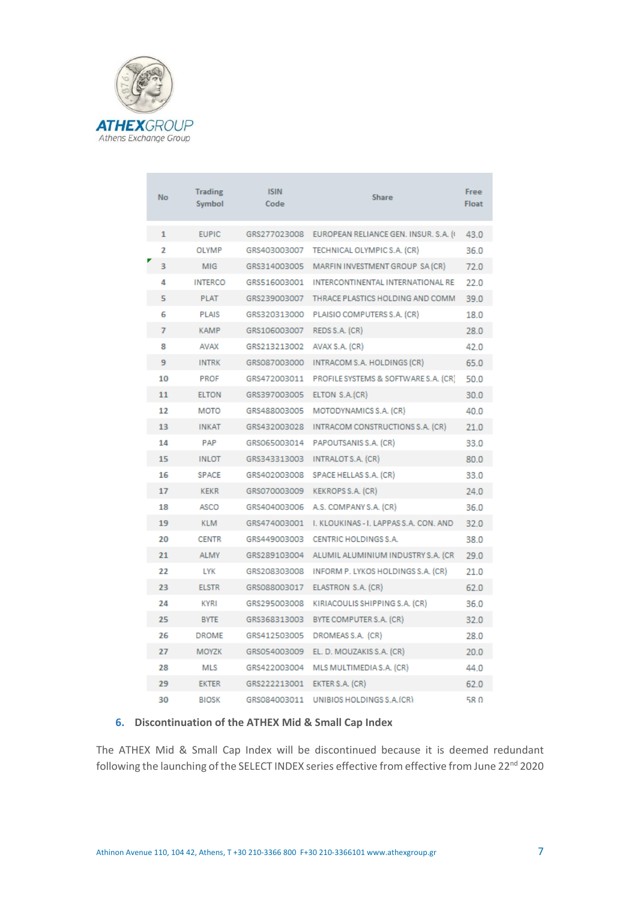

|  | <b>No</b> | <b>Trading</b><br>Symbol | <b>ISIN</b><br>Code | <b>Share</b>                           | Free<br><b>Float</b> |
|--|-----------|--------------------------|---------------------|----------------------------------------|----------------------|
|  | 1         | <b>EUPIC</b>             | GRS277023008        | EUROPEAN RELIANCE GEN. INSUR. S.A. (4) | 43.0                 |
|  | 2         | OLYMP                    | GRS403003007        | TECHNICAL OLYMPIC S.A. (CR)            | 36.0                 |
|  | ą         | MIG                      | GRS314003005        | MARFIN INVESTMENT GROUP SA (CR)        | 72.0                 |
|  | 4         | <b>INTERCO</b>           | GRS516003001        | INTERCONTINENTAL INTERNATIONAL RE      | 22.0                 |
|  | 5         | <b>PLAT</b>              | GRS239003007        | THRACE PLASTICS HOLDING AND COMM       | 39.0                 |
|  | 6         | <b>PLAIS</b>             | GRS320313000        | PLAISIO COMPUTERS S.A. (CR)            | 18.0                 |
|  | 7         | <b>KAMP</b>              | GRS106003007        | REDS S.A. (CR)                         | 28.0                 |
|  | 8         | AVAX                     | GRS213213002        | AVAX S.A. (CR)                         | 42.0                 |
|  | 9         | <b>INTRK</b>             | GRS087003000        | INTRACOM S.A. HOLDINGS (CR)            | 65.0                 |
|  | 10        | PROF                     | GRS472003011        | PROFILE SYSTEMS & SOFTWARE S.A. (CR)   | 50.0                 |
|  | 11        | <b>ELTON</b>             | GRS397003005        | ELTON S.A.(CR)                         | 30.0                 |
|  | 12        | <b>MOTO</b>              | GRS488003005        | MOTODYNAMICS S.A. (CR)                 | 40.0                 |
|  | 13        | <b>INKAT</b>             | GRS432003028        | INTRACOM CONSTRUCTIONS S.A. (CR)       | 21.0                 |
|  | 14        | <b>PAP</b>               | GRS065003014        | PAPOUTSANIS S.A. (CR)                  | 33.0                 |
|  | 15        | <b>INLOT</b>             | GRS343313003        | INTRALOTS.A. (CR)                      | 80.0                 |
|  | 16        | <b>SPACE</b>             | GRS402003008        | SPACE HELLAS S.A. (CR)                 | 33.0                 |
|  | 17        | <b>KEKR</b>              | GRS070003009        | KEKROPS S.A. (CR)                      | 24.0                 |
|  | 18        | ASCO                     | GRS404003006        | A.S. COMPANY S.A. (CR)                 | 36.0                 |
|  | 19        | <b>KLM</b>               | GRS474003001        | I. KLOUKINAS - I. LAPPAS S.A. CON. AND | 32.0                 |
|  | 20        | <b>CENTR</b>             | GRS449003003        | CENTRIC HOLDINGS S.A.                  | 38.0                 |
|  | 21        | <b>ALMY</b>              | GRS289103004        | ALUMIL ALUMINIUM INDUSTRY S.A. (CR)    | 29.0                 |
|  | 22        | <b>LYK</b>               | GRS208303008        | INFORM P. LYKOS HOLDINGS S.A. (CR)     | 21.0                 |
|  | 23        | <b>ELSTR</b>             | GRS088003017        | ELASTRON S.A. (CR)                     | 62.0                 |
|  | 24        | <b>KYRI</b>              | GRS295003008        | KIRIACOULIS SHIPPING S.A. (CR)         | 36.0                 |
|  | 25        | <b>BYTE</b>              | GRS368313003        | BYTE COMPUTER S.A. (CR)                | 32.0                 |
|  | 26        | <b>DROME</b>             | GRS412503005        | DROMEAS S.A. (CR)                      | 28.0                 |
|  | 27        | MOYZK                    | GRS054003009        | EL. D. MOUZAKIS S.A. (CR)              | 20.0                 |
|  | 28        | <b>MLS</b>               | GRS422003004        | MLS MULTIMEDIA S.A. (CR)               | 44.0                 |
|  | 29        | <b>EKTER</b>             | GRS222213001        | EKTER S.A. (CR)                        | 62.0                 |
|  | 30        | <b>BIOSK</b>             | GRS084003011        | UNIBIOS HOLDINGS S.A. (CR)             | 58.0                 |

### **6. Discontinuation of the ATHEX Mid & Small Cap Index**

The ATHEX Mid & Small Cap Index will be discontinued because it is deemed redundant following the launching of the SELECT INDEX series effective from effective from June 22<sup>nd</sup> 2020